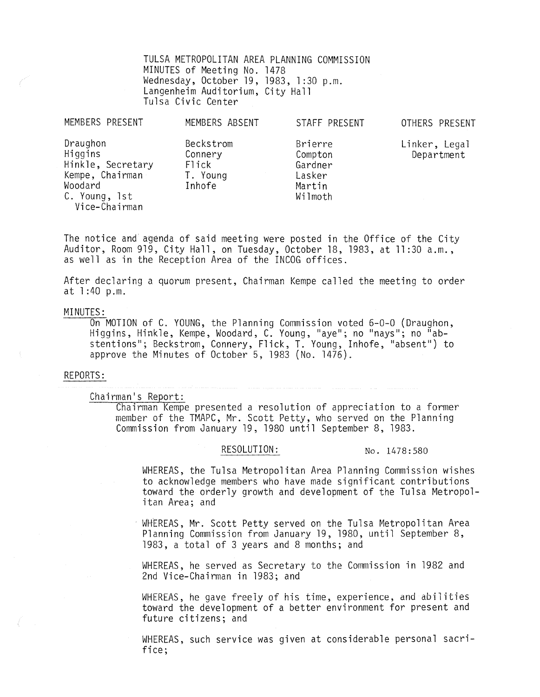TULSA METROPOLITAN AREA PLANNING COMMISSION MINUTES of Meeting No. 1478 Wednesday, October 19, 1983, 1 :30 p.m. Langenheim Auditorium, City Hall Tulsa Civic Center

| MEMBERS PRESENT                                                                                          | MEMBERS ABSENT                                      | STAFF PRESENT                                                | OTHERS PRESENT              |
|----------------------------------------------------------------------------------------------------------|-----------------------------------------------------|--------------------------------------------------------------|-----------------------------|
| Draughon<br>Higgins<br>Hinkle, Secretary<br>Kempe, Chairman<br>Woodard<br>C. Young, 1st<br>Vice-Chairman | Beckstrom<br>Connery<br>Flick<br>T. Young<br>Inhofe | Brierre<br>Compton<br>Gardner<br>Lasker<br>Martin<br>Wilmoth | Linker, Legal<br>Department |

The notice and agenda of said meeting were posted in the Office of the City Auditor, Room 919, City Hall, on Tuesday, October 18, 1983, at 11 :30 a.m., as well as in the Reception Area of the INCOG offices.

**After declaring a quorum present, Chairman Kempe called the meeting to order**  at 1 :40 p.m.

MINUTES:<br>On MOTION of C. YOUNG, the Planning Commission voted 6-0-0 (Draughon, On MOTION of C. YOUNG, the Planning Commission voted 6-0-0 (Draughon, Higgins, Hinkle, Kempe, Woodard, C. Young, "aye"; no "nays"; no "abstentions"; Beckstrom, Connery, Flick, T. Young, Inhofe, "absent") to approve the Minutes of October 5, 1983 (No. 1476).

#### REPORTS:

Chairman's Report:

Chairman Kempe presented a resolution of appreciation to a former member of the TMAPC, Mr. Scott Petty, who served on the Planning Commission from January 19, 1980 until September 8, 1983.

RESOLUTION: No. 1478:580

WHEREAS, the Tulsa Metropolitan Area Planning Commission wishes to acknowledge members who have made significant contributions toward the orderly growth and development of the Tulsa Metropol- itan Area; and

WHEREAS, Mr. Scott Petty served on the Tulsa Metropolitan Area Planning Commission from January 19, 1980, until September 8, 1983, a total of 3 years and 8 months; and

WHEREAS, he served as Secretary to the Commission in 1982 and 2nd Vice-Chairman in 1983; and

WHEREAS, he gave freely of his time, experience, and abilities toward the development of a better environment for present and future citizens; and

WHEREAS, such service was given at considerable personal sacrifice;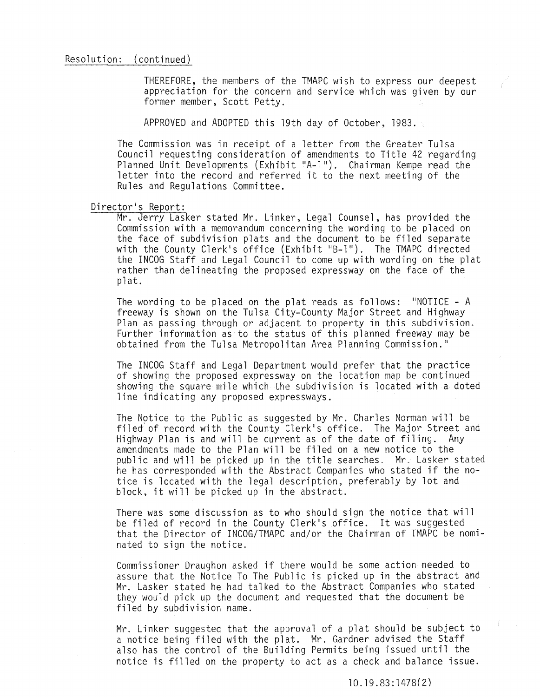### Resolution: (continued)

THEREFORE, the members of the TMAPC wish to express our deepest appreciation for the concern and service which was given by our former member, Scott Petty.

APPROVED and ADOPTED this 19th day of October, 1983.

The Commission was in receipt of a letter from the Greater Tulsa Council requesting consideration of amendments to Title 42 regarding Planned Unit Developments (Exhibit "A-l"). Chairman Kempe read the letter into the record and referred it to the next meeting of the Rules and Regulations Committee.

#### Director's Report:

Mr. Jerry Lasker stated Mr. Linker, Legal Counsel, has provided the Commission with a memorandum concerning the wording to be placed on the face of subdivision plats and the document to be filed separate with the County Clerk's office (Exhibit "B-l"). The TMAPC directed the INCOG Staff and Legal Council to come up with wording on the plat rather than delineating the proposed expressway on the face of the pi at.

The wording to be placed on the plat reads as follows: "NOTICE - A freeway is shown on the Tulsa City-County Major Street and Highway Plan as passing through or adjacent to property in this subdivision. Further information as to the status of this planned freeway may be obtained from the Tulsa Metropolitan Area Planning Commission."

The INCOG Staff and Legal Department would prefer that the practice of showing the proposed expressway on the location map be continued showing the square mile which the subdivision is located with a doted line indicating any proposed expressways.

The Notice to the Public as suggested by Mr. Charles Norman will be filed of record with the County Clerk's office. The Major Street and Highway Plan is and will be current as of the date of filing. Any amendments made to the Plan will be filed on a new notice to the public and will be picked up in the title searches. Mr. Lasker stated he has corresponded with the Abstract Companies who stated if the notice is located with the legal description, preferably by lot and block, it will be picked up in the abstract.

There was some discussion as to who should siqn the notice that will be filed of record in the County Clerk's office. It was suggested that the Director of INCOG/TMAPC and/or the Chairman of TMAPC be nominated to sign the notice.

Commissioner Draughon asked if there would be some action needed to assure that the Notice To The Public is picked up in the abstract and Mr. Lasker stated he had talked to the Abstract Companies who stated they would pick up the document and requested that the document be filed by subdivision name.

Mr. Linker suggested that the approval of a plat should be subject to a notice being filed with the plat. Mr. Gardner advised the Staff also has the control of the Building Permits being issued until the notice is filled on the property to act as a check and balance issue.

10.19.83:1478(2)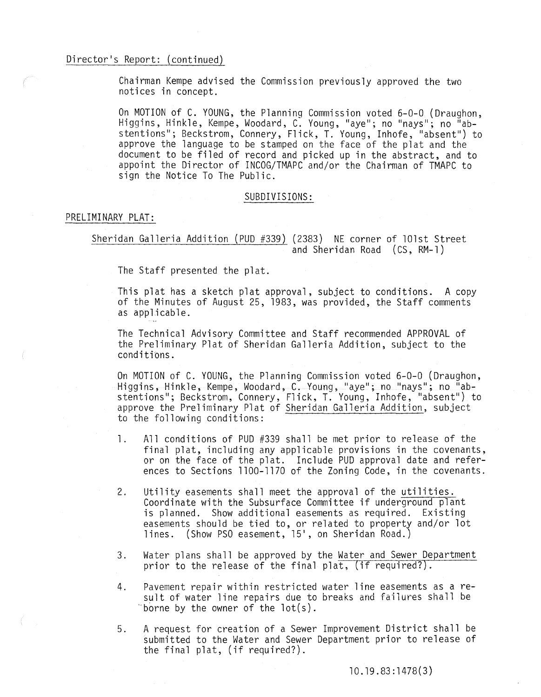# Director's Report: (continued)

Chairman Kempe advised the Commission previously approved the two notices in concept.

On MOTION of C. YOUNG, the Planning Commission voted 6-0-0 (Draughon, Higgins, Hinkle, Kempe, Woodard, C. Young, "aye"; no "nays"; no "abstentions"; Beckstrom, Connery, Flick, T. Young, Inhofe, "absent") to approve the language to be stamped on the face of the plat and the document to be filed of record and picked up in the abstract, and to appoint the Director of INCOG/TMAPC and/or the Chairman of TMAPC to sign the Notice To The Public.

#### SUBDIVISIONS:

### PRELIMINARY PLAT:

Sheridan Galleria Addition (PUD #339) (2383) NE corner of 101st Street and Sheridan Road (CS, RM-l)

The Staff presented the plat.

This plat has a sketch plat approval, subject to conditions. A copy of the Minutes of August 25, 1983, was provided, the Staff comments as applicable.

The Technical Advisory Committee and Staff recommended APPROVAL of the Preliminary Plat of Sheridan Galleria Addition, subject to the conditions.

On MOTION of C. YOUNG, the Planning Commission voted 6-0-0 (Draughon, Higgins, Hinkle, Kempe, Woodard, C. Young, "aye"; no "nays"; no "abstentions"; Beckstrom, Connery, Flick, T. Young, Inhofe, "absent") to approve the Preliminary Plat of Sheridan Galleria Addition, subject to the following conditions:

- 1. All conditions of PUD #339 shall be met prior to release of the final plat, including any applicable provisions in the covenants, or on the face of the plat. Include PUD approval date and references to Sections 1100-1170 of the Zoning Code, in the covenants.
- 2. Utility easements shall meet the approval of the utilities. Coordinate with the Subsurface Committee if underground plant is planned. Show additional easements as required. Existing easements should be tied to, or related to property and/or lot lines. (Show PSO easement, 15', on Sheridan Road.)
- 3. Water plans shall be approved by the Water and Sewer Department prior to the release of the final plat, (if required?).
- 4. Pavement repair within restricted water line easements as a result of water line repairs due to breaks and failures shall be "borne by the owner of the lot(s).
- 5. A request for creation of a Sewer Improvement District shall be submitted to the Water and Sewer Department prior to release of the final plat, (if required?).

10. 19 . 83 : 1 478 ( 3 )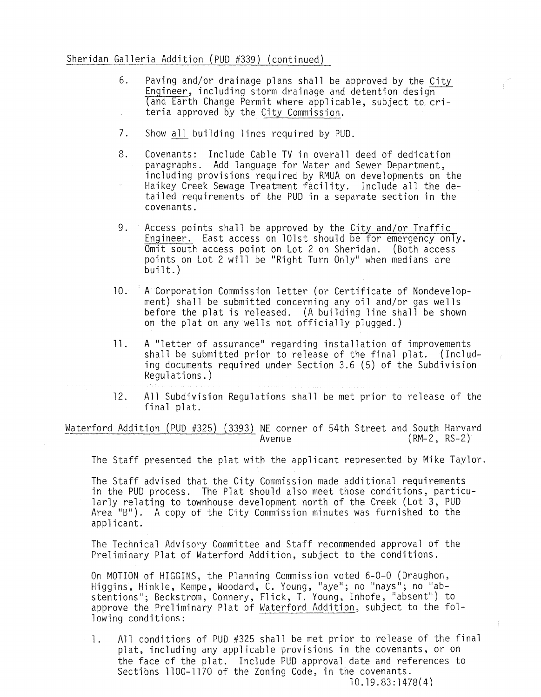# Sheridan Galleria Addition (PUD #339) (continued)

- 6. Paving and/or drainage plans shall be approved by the City Engineer, including storm drainage and detention design (and Earth Change Permit where applicable, subject to criteria approved by the City Commission.
- 7. Show all building lines required by PUD.
- 8. Covenants: Include Cable TV in overall deed of dedication paragraphs. Add language for Water and Sewer Department, including provisions required by RMUA on developments on the Haikey Creek Sewage Treatment facility. Include all the detailed requirements of the PUD in a separate section in the covenants.
- 9. Access points shall be approved by the City and/or Traffic Engineer. East access on 101st should be for emergency only. Omit south access point on Lot 2 on Sheridan. (Both access points on Lot 2 will be "Right Turn Only" when medians are built.)
- 10. A Corporation Commission letter (or Certificate of Nondevelopment) shall be submitted concerning any oil and/or gas wells before the plat is released. (A building line shall be shown on the plat on any wells not officially plugged.)
- 11. A "letter of assurance" regarding installation of improvements shall be submitted prior to release of the final plat. (Including documents required under Section 3.6 (5) of the Subdivision Regulations.)

12. All Subdivision Regulations shall be met prior to release of the final plat.

Waterford Addition (PUD #325) (3393) NE corner of 54th Street and South Harvard<br>Avenue<br>(RM-2, RS-2)  $(RM-2, RS-2)$ 

The Staff presented the plat with the applicant represented by Mike Taylor.

The Staff advised that the City Commission made additional requirements in the PUD process. The Plat should also meet those conditions, particularly relating to townhouse development north of the Creek (Lot 3, PUD Area "B"). A copy of the City Commission minutes was furnished to the applicant.

The Technical Advisory Committee and Staff recommended approval of the Preliminary Plat of Waterford Addition, subject to the conditions.

On MOTION of HIGGINS, the Planning Commission voted 6-0-0 (Draughon, Higgins, Hinkle, Kempe, Woodard, C. Young, "aye"; no "nays"; no "abstentions"; Beckstrom, Connery, Flick, T. Young, Inhofe, "absent") to approve the Preliminary Plat of Waterford Addition, subject to the following conditions:

1. All conditions of PUD #325 shall be met prior to release of the final plat, including any applicable provisions in the covenants, or on the face of the plat. Include PUD approval date and references to Sections 1100-1170 of the Zoning Code, in the covenants. 10.19.83:1478(4)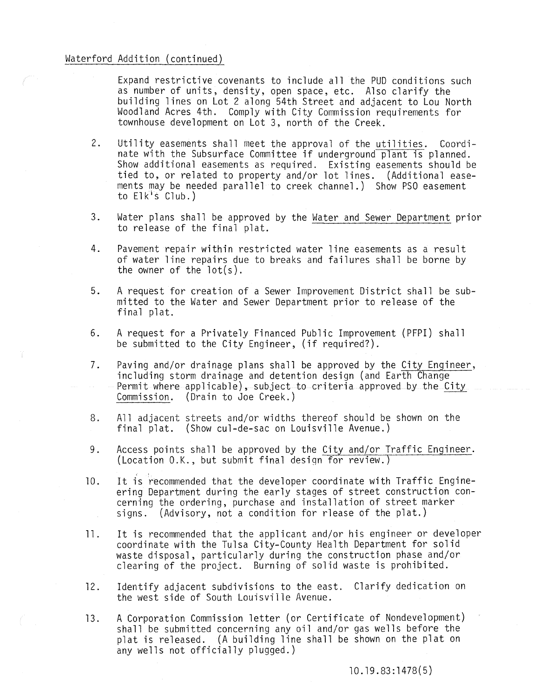# Waterford Addition (continued)

 $\epsilon = \sqrt{\epsilon}$ 

Expand restrictive covenants to include all the PUD conditions such as number of units, density, open space, etc. Also clarify the building lines on Lot 2 along 54th Street and adjacent to Lou North Woodland Acres 4th. Comply with City Commission requirements for townhouse development on Lot 3, north of the Creek.

- 2. Utility easements shall meet the approval of the utilities. Coordinate with the Subsurface Committee if underground plant is planned. Show additional easements as required. Existing easements should be tied to, or related to property and/or lot lines. (Additional easements may be needed parallel to creek channel.) Show PSO easement to Elk's Club.)
- 3. Water plans shall be approved by the Water and Sewer Department prior to release of the final plat.
- 4. Pavement repair within restricted water line easements as a result of water line repairs due to breaks and failures shall be borne by the owner of the lot(s).
- 5. A request for creation of a Sewer Improvement District shall be submitted to the Water and Sewer Department prior to release of the final plat.
- 6. A request for a Privately Financed Public Improvement (PFPI) shall be submitted to the City Engineer, (if required?).
- 7. Paving and/or drainage plans shall be approved by the City Engineer, including storm drainage and detention design (and Earth Change Permit where applicable), subject to criteria approved by the City Commission. (Drain to Joe Creek.)
- 8. All adjacent streets and/or widths thereof should be shown on the final plat. (Show cul-de-sac on Louisville Avenue.)
- 9. Access points shall be approved by the City and/or Traffic Engineer. (Location O.K., but submit final design for review.)
- 10. It is recommended that the developer coordinate with Traffic Engineering Department during the early stages of street construction concerning the ordering, purchase and installation of street marker signs. (Advisory, not a condition for rlease of the plat.)
- 11. It is recommended that the applicant and/or his engineer or developer coordinate with the Tulsa City-County Health Department for solid waste disposal, particularly during the construction phase and/or clearing of the project. Burning of solid waste is prohibited.
- 12. Identify adjacent subdivisions to the east. Clarify dedication on the west side of South Louisville Avenue.
- 13. A Corporation Commission letter (or Certificate of Nondevelopment) shall be submitted concerning any oil and/or gas wells before the plat is released. (A building line shall be shown on the plat on any wells not officially plugged.)

10.19.83:1478(5)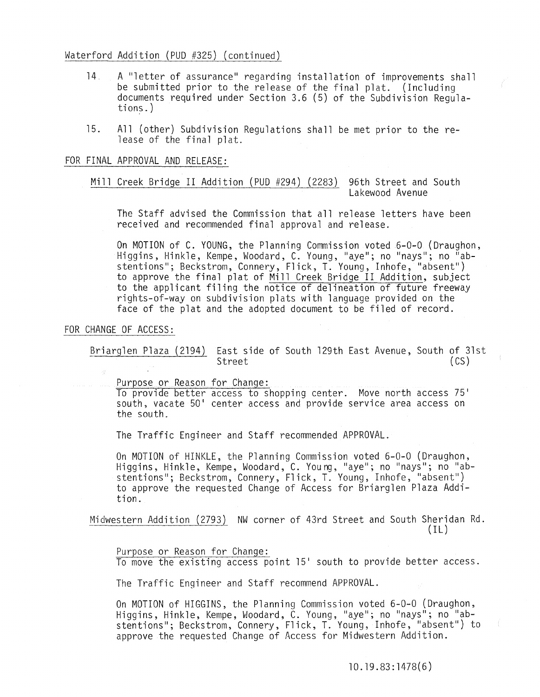## Waterford Addition (PUD #325) (continued)

- 14 A "letter of assurance" regarding installation of improvements shall be submitted prior to the release of the final plat. (Including documents required under Section 3.6 (5) of the Subdivision Regula- tions.)
- 15. All (other) Subdivision Regulations shall be met prior to the release of the final plat.

FOR FINAL APPROVAL AND RELEASE:

Mill Creek Bridge II Addition (PUD #294) (2283) 96th Street and South Lakewood Avenue

The Staff advised the Commission that all release letters have been received and recommended final approval and release.

On MOTION of C. YOUNG, the Planning Commission voted 6-0-0 (Draughon, Higgins, Hinkle, Kempe, Woodard, C. Young, "aye"; no "nays"; no "abstentions"; Beckstrom, Connery, Flick, T. Young, Inhofe, "absent") to approve the final plat of Mill Creek Bridge II Addition, subject to the applicant filing the notice of delineation of future freeway rights-of-way on subdivision plats with language provided on the face of the plat and the adopted document to be filed of record.

# FOR CHANGE OF ACCESS:

Briarglen Plaza (2194) East side of South 129th East Avenue, South of 31st Street (CS)

Purpose or Reason for Change:

To provide better access to shopping center. Move north access 75' south, vacate 50' center access and provide service area access on the south.

The Traffic Engineer and Staff recommended APPROVAL.

On MOTION of HINKLE, the Planning Commission voted 6-0-0 (Draughon, Higgins, Hinkle, Kempe, Woodard, C. Young, "aye"; no "nays"; no "abstentions"; Beckstrom, Connery, Flick, T. Young, Inhofe, "absent") to approve the requested Change of Access for Briarglen Plaza Addition.

Midwestern Addition (2793) NW corner of 43rd Street and South Sheridan Rd.  $(1L)$ 

Purpose or Reason for Change: To move the existing access point 15' south to provide better access.

The Traffic Engineer and Staff recommend APPROVAL.

On MOTION of HIGGINS, the Planning Commission voted 6-0-0 (Draughon, Higgins, Hinkle, Kempe, Woodard, C. Young, "aye"; no "nays"; no "abstentions"; Beckstrom, Connery, Flick, T. Young, Inhofe, "absent") to approve the requested Change of Access for Midwestern Addition.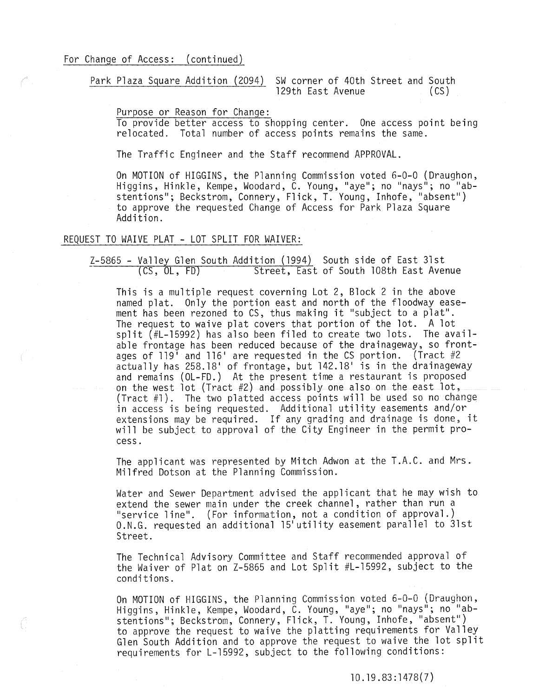Park Plaza Square Addition (2094) SW corner of 40th Street and South 129th East Avenue (CS)

Purpose or Reason for Change:

To provide better access to shopping center. One access point being relocated. Total number of access points remains the same.

The Traffic Engineer and the Staff recommend APPROVAL.

On MOTION of HIGGINS, the Planning Commission voted 6-0-0 (Draughon, Higgins, Hinkle, Kempe, Woodard, C. Young, "aye"; no "nays"; no "abstentions"; Beckstrom, Connery, Flick, T. Young, Inhofe, "absent") to approve the requested Change of Access for Park Plaza Square Addition.

# REQUEST TO WAIVE PLAT - LOT SPLIT FOR WAIVER:

Z-5865 - Valley Glen South Addition (1994) South side of East 31st<br>(CS, OL, FD) Street, East of South 108th East Ave Street, East of South 108th East Avenue

This is a multiple request coverning Lot 2, Block 2 in the above named plat. Only the portion east and north of the floodway easement has been rezoned to CS, thus making it "subject to a plat". The request to waive plat covers that portion of the lot. A lot split (#L-15992) has also been filed to create two lots. The available frontage has been reduced because of the drainageway, so frontages of 119' and 116' are requested in the CS portion. (Tract #2 actually has 258.18' of frontage, but 142.18' is in the drainageway and remains (OL-FD.) At the present time a restaurant is proposed on the west lot (Tract #2) and possibly one also on the east lot, (Tract #1). The two platted access points will be used so no change in access is being requested. Additional utility easements and/or extensions may be required. If any grading and drainage is done, it will be subject to approval of the City Engineer in the permit process.

The applicant was represented by Mitch Adwon at the T.A.C. and Mrs. Milfred Dotson at the Planning Commission.

Water and Sewer Department advised the applicant that he may wish to extend the sewer main under the creek channel, rather than run a "service line". (For information, not a condition of approval.) O.N.G. requested an additional 15' utility easement parallel to 31st Street.

The Technical Advisory Committee and Staff recommended approval of the Waiver of Plat on Z-5865 and Lot Split #L-15992, subject to the conditions.

On MOTION of HIGGINS, the Planning Commission voted 6-0-0 (Draughon,<br>Higgins, Hinkle, Kempe, Woodard, C. Young, "aye"; no "nays"; no "abstentions"; Beckstrom, Connery, Flick, T. Young, Inhofe, "absent") to approve the request to waive the platting requirements for Valley Glen South Addition and to approve the request to waive the lot split requirements for L-l5992, subject to the following conditions: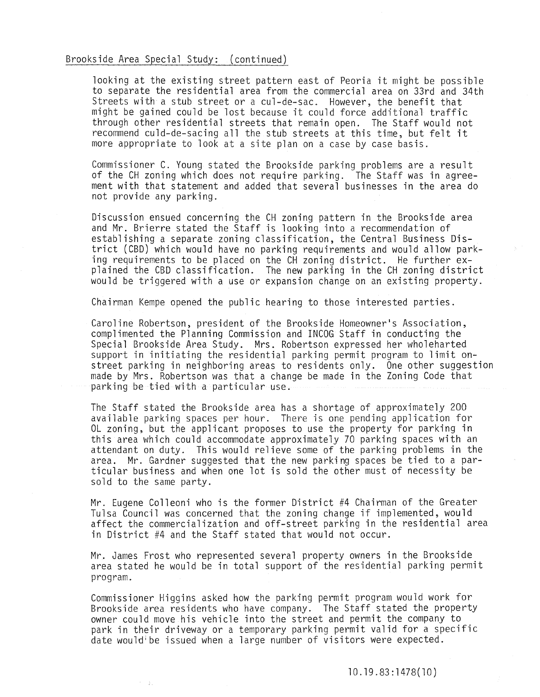## Brookside Area Special Study: (continued)

looking at the existing street pattern east of Peoria it might be possible to separate the residential area from the commercial area on 33rd and 34th Streets with a stub street or a cul-de-sac. However, the benefit that might be gained could be lost because it could force additional traffic through other residential streets that remain open. The Staff would not recommend culd-de-sacing all the stub streets at this time, but felt it more appropriate to look at a site plan on a case by case basis.

Commissioner C. Young stated the Brookside parking problems are a result of the CH zoning which does not require parking. The Staff was in agreement with that statement and added that several businesses in the area do not provide any parking.

Discussion ensued concerning the CH zoning pattern in the Brookside area and Mr. Brierre stated the Staff is looking into a recommendation of establishing a separate zoning classification, the Central Business District (CBD) which would have no parking requirements and would allow parking requirements to be placed on the CH zoning district. He further explained the CBD classification. The new parking in the CH zoning district would be triggered with a use or expansion change on an existing property.

Chairman Kempe opened the public hearing to those interested parties.

Caroline Robertson, president of the Brookside Homeowner's Association, complimented the Planning Commission and INCOG Staff in conducting the Special Brookside Area Study. Mrs. Robertson expressed her wholeharted support in initiating the residential parking permit program to limit onstreet parking in neighboring areas to residents only. One other suggestion made by Mrs. Robertson was that a change be made in the Zoning Code that parking be tied with a particular use.

The Staff stated the Brookside area has a shortage of approximately 200 available parking spaces per hour. There is one pending application for OL zoning, but the applicant proposes to use the property for parking in this area which could accommodate approximately 70 parking spaces with an attendant on duty. This would relieve some of the parking problems in the area. Mr. Gardner suggested that the new parking spaces be tied to a particular business and when one lot is sold the other must of necessity be sold to the same party.

Mr. Eugene Colleoni who is the former District #4 Chairman of the Greater Tulsa Council was concerned that the zoning change if implemented, would affect the commercialization and off-street parking in the residential area in District #4 and the Staff stated that would not occur.

Mr. James Frost who represented several property owners in the Brookside area stated he would be in total support of the residential parking permit program.

Commissioner Higgins asked how the parking permit program would work for Brookside area residents who have company. The Staff stated the property owner could move his vehicle into the street and permit the company to park in their driveway or a temporary parking permit valid for a specific date wouldibe issued when a large number of visitors were expected.

化二氯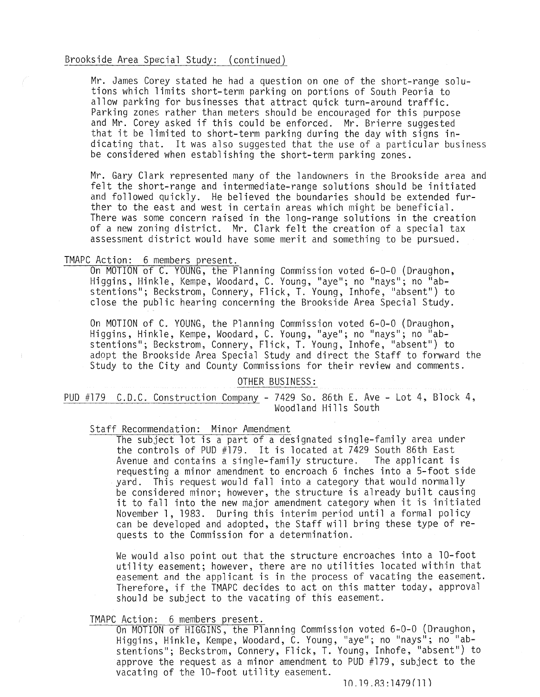### Brookside Area Special Study: (continued)

Mr. James Corey stated he had a question on one of the short-range solutions which limits short-term parking on portions of South Peoria to allow parking for businesses that attract quick turn-around traffic. Parking zones rather than meters should be encouraged for this purpose and Mr. Corey asked if this could be enforced. Mr. Brierre suggested that it be limited to short-term parking during the day with signs indicating that. It was also suggested that the use of a particular business be considered when establishing the short-term parking zones.

Mr. Gary Clark represented many of the landowners in the Brookside area and felt the short-range and intermediate-range solutions should be initiated and followed quickly. He believed the boundaries should be extended further to the east and west in certain areas which might be beneficial. There was some concern raised in the long-range solutions in the creation of a new zoning district. Mr. Clark felt the creation of a special tax assessment district would have some merit and something to be pursued.

# TMAPC Action: 6 members present.

On MOTION of C. YOUNG, the Planning Commission voted 6-0-0 (Draughon, Higgins, Hinkle, Kempe, Woodard, C. Young, "aye"; no "nays"; no "abstentions"; Beckstrom, Connery, Flick, T. Young, Inhofe, "absent") to close the public hearing concerning the Brookside Area Special Study.

On MOTION of C. YOUNG, the Planning Commission voted 6-0-0 (Draughon,<br>Higgins, Hinkle, Kempe, Woodard, C. Young, "aye"; no "nays"; no "abstentions"; Beckstrom, Connery, Flick, T. Young, Inhofe, "absent") to adopt the Brookside Area Special Study and direct the Staff to forward the Study to the City and County Commissions for their review and comments.

#### OTHER BUSINESS:

PUD #179 C.D.C. Construction Company - 7429 So. 86th E. Ave - Lot 4, Block 4, Woodland Hills South

Staff Recommendation: Minor Amendment

The subject lot is a part of a designated single-family area under the controls of PUD #179. It is located at 7429 South 86th East<br>Avenue and contains a single-family structure. The applicant is Avenue and contains a single-family structure. requesting a minor amendment to encroach 6 inches into a 5-foot side yard. This request would fall into a category that would normally be considered minor; however, the structure is already built causing<br>it to fall into the new major amendment category when it is initiated November 1,1983. During this interim period until a formal policy can be developed and adopted, the Staff will bring these type of requests to the Commission for a determination.

We would also point out that the structure encroaches into a 10-foot utility easement; however, there are no utilities located within that easement and the applicant is in the process of vacating the easement. Therefore, if the TMAPC decides to act on this matter today, approval should be subject to the vacating of this easement.

TMAPC Action: 6 members present.<br>On MOTION of HIGGINS, the Planning Commission voted 6-0-0 (Draughon, On MOTION of HIGGINS, the Planning Commission voted 6-0-0 (Draughon, Higgins, Hinkle, Kempe, Woodard, C. Young, "aye"; no "nays"; no "abstentions"; Beckstrom, Connery, Flick, T. Young, Inhofe. "absent") to approve the request as a minor amendment to PUD #179, subject to the vacating of the 10-foot utility easement.

### $10.19.83:1479(11)$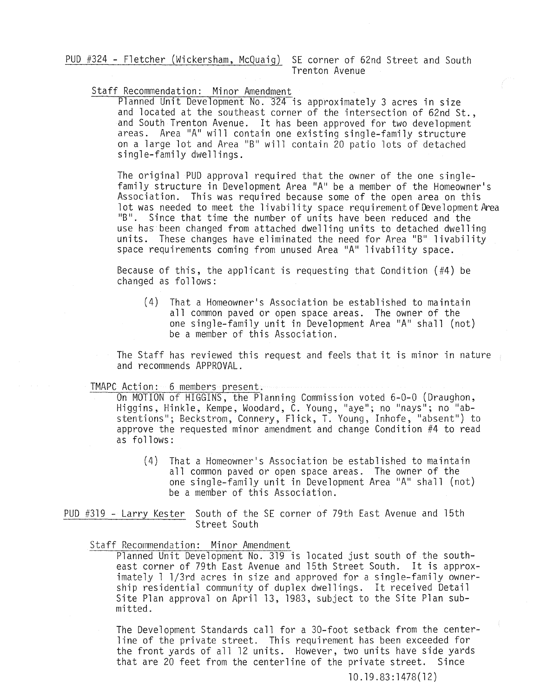PUD #324 - Fletcher (Wickersham, McQuaig) SE corner of 62nd Street and South Trenton Avenue

# Staff Recommendation: Minor Amendment

Planned Unit Development No. 324 is approximately 3 acres in size and located at the southeast corner of the intersection of 62nd St., and South Trenton Avenue. It has been approved for two development areas. Area "A" will contain one existing single-family structure on a large lot and Area "B" will contain 20 patio lots of detached single-family dwellings.

The original PUD approval required that the owner of the one singlefamily structure in Development Area "A" be a member of the Homeowner's Association. This was required because some of the open area on this lot was needed to meet the livability space requirement of Development Area "B". Since that time the number of units have been reduced and the use has been changed from attached dwelling units to detached dwelling units. These changes have eliminated the need for Area "B" livability space requirements coming from unused Area "A" livability space.

Because of this, the applicant is requesting that Condition (#4) be changed as follows:

(4) That a Homeowner's Association be established to maintain all common paved or open space areas. The owner of the one single-family unit in Development Area "A" shall (not) be a member of this Association.

The Staff has reviewed this request and feels that it is minor in nature and recommends APPROVAL.

TMAPC Action: 6 members present.<br>On MOTION of HIGGINS, the Planning Commission voted 6-0-0 (Draughon, On MOTION of HIGGINS, the Planning Commission voted 6-0-0 (Draughon,<br>Higgins, Hinkle, Kempe, Woodard, C. Young, "aye"; no "nays"; no "abstentions"; Beckstrom, Connery, Flick, T. Young, Inhofe, "absent") to approve the requested minor amendment and change Condition #4 to read as follows:

> (4) That a Homeowner's Association be established to maintain all common paved or open space areas. The owner of the one single-family unit in Development Area "A" shall (not) be a member of this Association.

PUD #319 - Larry Kester South of the SE corner of 79th East Avenue and 15th Street South

Staff Recommendation: Minor Amendment

Planned Unit Development No. 319 is located just south of the southeast corner of 79th East Avenue and 15th Street South. It is approximately 1 1/3rd acres in size and approved for a single-family ownership residential community of duplex dwellings. It received Detail Site Plan approval on April 13, 1983, subject to the Site Plan submitted.

The Development Standards call for a 3D-foot setback from the centerline of the private street. This requirement has been exceeded for the front yards of all 12 units. However, two units have side yards that are 20 feet from the centerline of the private street. Since

10.19.83:1478(12)